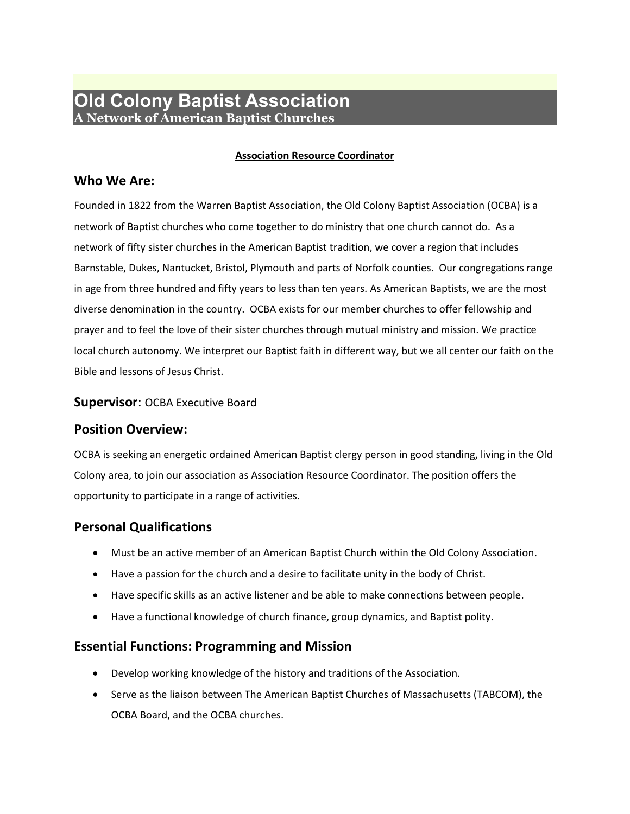# **Old Colony Baptist Association A Network of American Baptist Churches**

#### **Association Resource Coordinator**

### **Who We Are:**

Founded in 1822 from the Warren Baptist Association, the Old Colony Baptist Association (OCBA) is a network of Baptist churches who come together to do ministry that one church cannot do. As a network of fifty sister churches in the American Baptist tradition, we cover a region that includes Barnstable, Dukes, Nantucket, Bristol, Plymouth and parts of Norfolk counties. Our congregations range in age from three hundred and fifty years to less than ten years. As American Baptists, we are the most diverse denomination in the country. OCBA exists for our member churches to offer fellowship and prayer and to feel the love of their sister churches through mutual ministry and mission. We practice local church autonomy. We interpret our Baptist faith in different way, but we all center our faith on the Bible and lessons of Jesus Christ.

#### **Supervisor**: OCBA Executive Board

### **Position Overview:**

OCBA is seeking an energetic ordained American Baptist clergy person in good standing, living in the Old Colony area, to join our association as Association Resource Coordinator. The position offers the opportunity to participate in a range of activities.

# **Personal Qualifications**

- Must be an active member of an American Baptist Church within the Old Colony Association.
- Have a passion for the church and a desire to facilitate unity in the body of Christ.
- Have specific skills as an active listener and be able to make connections between people.
- Have a functional knowledge of church finance, group dynamics, and Baptist polity.

# **Essential Functions: Programming and Mission**

- Develop working knowledge of the history and traditions of the Association.
- Serve as the liaison between The American Baptist Churches of Massachusetts (TABCOM), the OCBA Board, and the OCBA churches.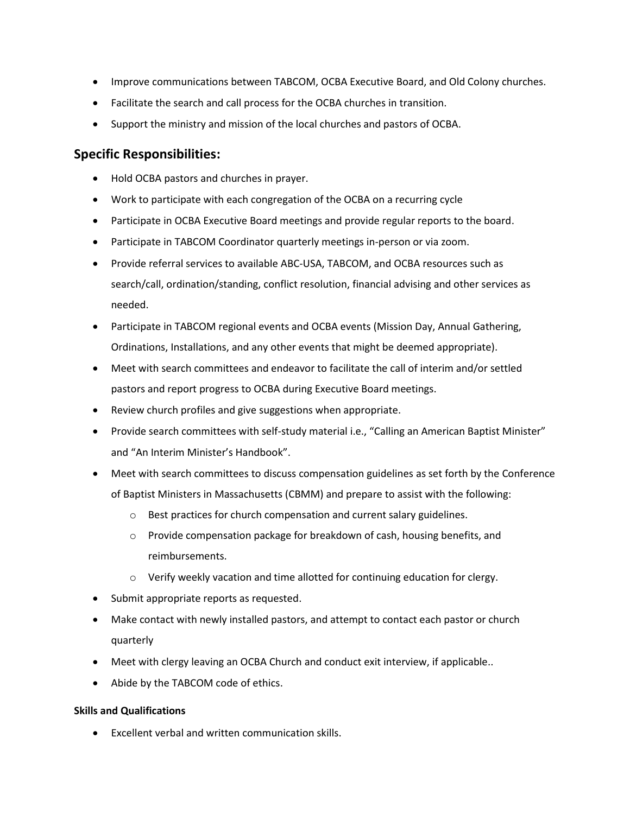- Improve communications between TABCOM, OCBA Executive Board, and Old Colony churches.
- Facilitate the search and call process for the OCBA churches in transition.
- Support the ministry and mission of the local churches and pastors of OCBA.

### **Specific Responsibilities:**

- Hold OCBA pastors and churches in prayer.
- Work to participate with each congregation of the OCBA on a recurring cycle
- Participate in OCBA Executive Board meetings and provide regular reports to the board.
- Participate in TABCOM Coordinator quarterly meetings in-person or via zoom.
- Provide referral services to available ABC-USA, TABCOM, and OCBA resources such as search/call, ordination/standing, conflict resolution, financial advising and other services as needed.
- Participate in TABCOM regional events and OCBA events (Mission Day, Annual Gathering, Ordinations, Installations, and any other events that might be deemed appropriate).
- Meet with search committees and endeavor to facilitate the call of interim and/or settled pastors and report progress to OCBA during Executive Board meetings.
- Review church profiles and give suggestions when appropriate.
- Provide search committees with self-study material i.e., "Calling an American Baptist Minister" and "An Interim Minister's Handbook".
- Meet with search committees to discuss compensation guidelines as set forth by the Conference of Baptist Ministers in Massachusetts (CBMM) and prepare to assist with the following:
	- o Best practices for church compensation and current salary guidelines.
	- o Provide compensation package for breakdown of cash, housing benefits, and reimbursements.
	- o Verify weekly vacation and time allotted for continuing education for clergy.
- Submit appropriate reports as requested.
- Make contact with newly installed pastors, and attempt to contact each pastor or church quarterly
- Meet with clergy leaving an OCBA Church and conduct exit interview, if applicable..
- Abide by the TABCOM code of ethics.

#### **Skills and Qualifications**

• Excellent verbal and written communication skills.